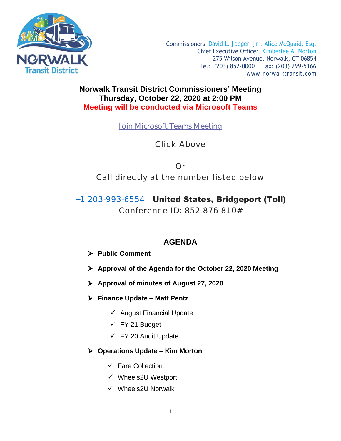

Commissioners David L. Jaeger, Jr., Alice McQuaid, Esq. Chief Executive Officer Kimberlee A. Morton 275 Wilson Avenue, Norwalk, CT 06854 Tel: (203) 852-0000 Fax: (203) 299-5166 [www.norwalktransit.com](http://www.norwalktransit.com)

# **Norwalk Transit District Commissioners' Meeting Thursday, October 22, 2020 at 2:00 PM Meeting will be conducted via Microsoft Teams**

**[Join Microsoft Teams Meeting](https://teams.microsoft.com/l/meetup-join/19%3ameeting_MTg5NGZiN2YtYjdjZS00Yzg5LWFjNzQtMjg5ZTc5ZDAwN2Nl%40thread.v2/0?context=%7b%22Tid%22%3a%22cacbc654-1d19-466a-a04c-525310b7e4ad%22%2c%22Oid%22%3a%2240bc7ff5-2bcb-40fd-bbae-9035922a1690%22%7d)**

Click Above

Or Call directly at the number listed below

+1 203-993-6554 United States, Bridgeport (Toll)

Conference ID: 852 876 810#

# **AGENDA**

**Public Comment**

- **Approval of the Agenda for the October 22, 2020 Meeting**
- **Approval of minutes of August 27, 2020**
- **Finance Update – Matt Pentz**
	- $\checkmark$  August Financial Update
	- $\checkmark$  FY 21 Budget
	- $\checkmark$  FY 20 Audit Update

# **Operations Update – Kim Morton**

- $\checkmark$  Fare Collection
- $\checkmark$  Wheels2U Westport
- $\checkmark$  Wheels2U Norwalk